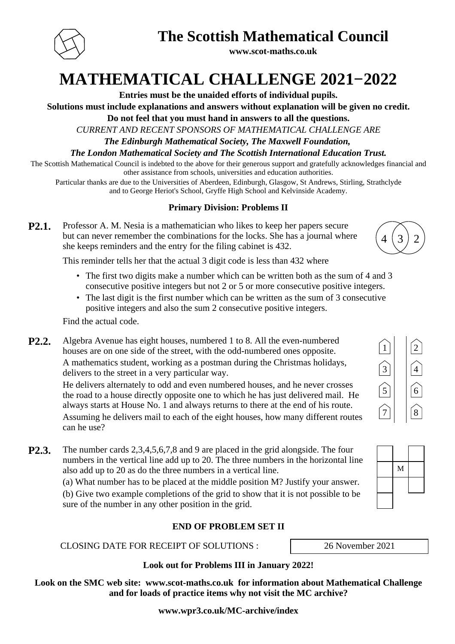

# **The Scottish Mathematical Council**

**www.scot-maths.co.uk**

**MATHEMATICAL CHALLENGE 2021−2022**

**Entries must be the unaided efforts of individual pupils.**

**Solutions must include explanations and answers without explanation will be given no credit.**

**Do not feel that you must hand in answers to all the questions.**

*CURRENT AND RECENT SPONSORS OF MATHEMATICAL CHALLENGE ARE*

*The Edinburgh Mathematical Society, The Maxwell Foundation,* 

*The London Mathematical Society and The Scottish International Education Trust.*

The Scottish Mathematical Council is indebted to the above for their generous support and gratefully acknowledges financial and other assistance from schools, universities and education authorities.

Particular thanks are due to the Universities of Aberdeen, Edinburgh, Glasgow, St Andrews, Stirling, Strathclyde and to George Heriot's School, Gryffe High School and Kelvinside Academy.

## **Primary Division: Problems II**

| P2.1. | Professor A. M. Nesia is a mathematician who likes to keep her papers secure   |         |  |
|-------|--------------------------------------------------------------------------------|---------|--|
|       | but can never remember the combinations for the locks. She has a journal where | (4(3)2) |  |
|       | she keeps reminders and the entry for the filing cabinet is 432.               |         |  |

This reminder tells her that the actual 3 digit code is less than 432 where

- The first two digits make a number which can be written both as the sum of 4 and 3 consecutive positive integers but not 2 or 5 or more consecutive positive integers.
- The last digit is the first number which can be written as the sum of 3 consecutive positive integers and also the sum 2 consecutive positive integers.

Find the actual code.

**P2.2.** Algebra Avenue has eight houses, numbered 1 to 8. All the even-numbered houses are on one side of the street, with the odd-numbered ones opposite.

A mathematics student, working as a postman during the Christmas holidays, delivers to the street in a very particular way.

He delivers alternately to odd and even numbered houses, and he never crosses the road to a house directly opposite one to which he has just delivered mail. He always starts at House No. 1 and always returns to there at the end of his route. Assuming he delivers mail to each of the eight houses, how many different routes can he use?

**P2.3.** The number cards 2,3,4,5,6,7,8 and 9 are placed in the grid alongside. The four numbers in the vertical line add up to 20. The three numbers in the horizontal line also add up to 20 as do the three numbers in a vertical line.

> (a) What number has to be placed at the middle position M? Justify your answer. (b) Give two example completions of the grid to show that it is not possible to be sure of the number in any other position in the grid.

#### **END OF PROBLEM SET II**

#### CLOSING DATE FOR RECEIPT OF SOLUTIONS : 26 November 2021

**Look out for Problems III in January 2022!**

**Look on the SMC web site: www.scot-maths.co.uk for information about Mathematical Challenge and for loads of practice items why not visit the MC archive?**

**www.wpr3.co.uk/MC-archive/index**





| M |  |
|---|--|
|   |  |
|   |  |